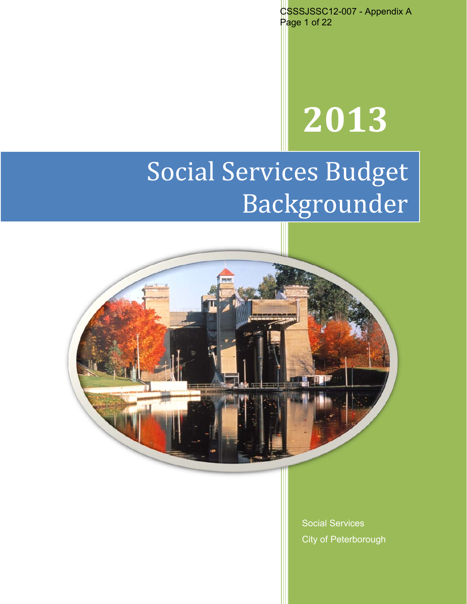CSSSJSSC12-007 - Appendix A Page 1 of 22

# **2013**

# Social Services Budget Backgrounder



Social Services City of Peterborough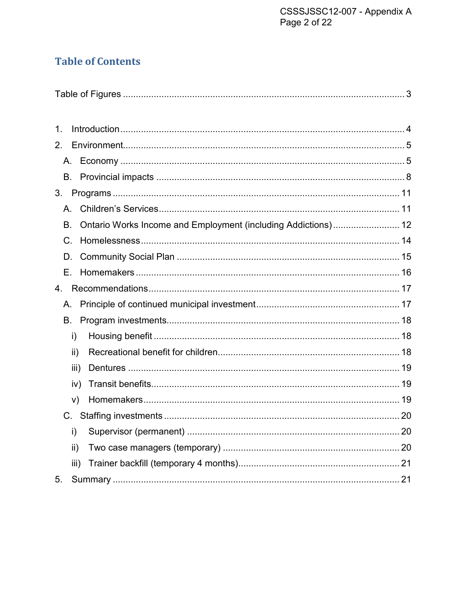# **Table of Contents**

| 1.          |      |    |
|-------------|------|----|
| $2_{\cdot}$ |      |    |
| А.          |      |    |
| В.          |      |    |
| 3.          |      |    |
| Α.          |      |    |
| В.          |      |    |
| C.          |      |    |
| D.          |      |    |
| Е.          |      |    |
| 4.          |      |    |
| А.          |      |    |
| В.          |      |    |
|             | i)   |    |
|             | ii)  |    |
|             | iii) |    |
|             | iv)  |    |
|             | V)   |    |
| C.          |      |    |
|             | i)   | 20 |
|             | ii)  |    |
|             | iii) |    |
| 5.          |      |    |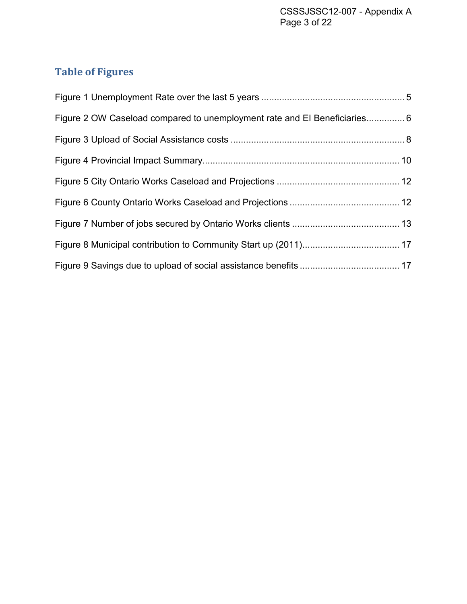# <span id="page-2-0"></span>**Table of Figures**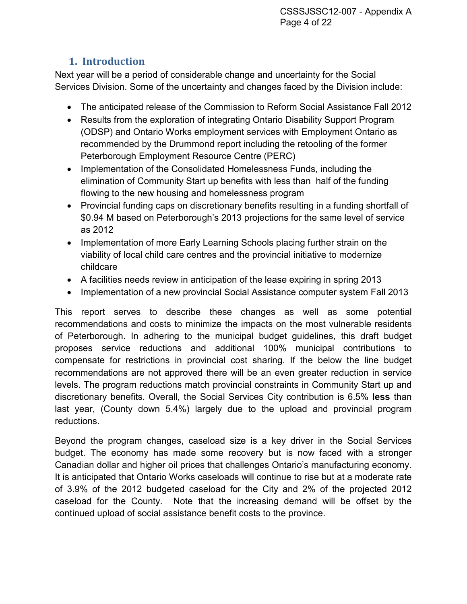# **1. Introduction**

<span id="page-3-0"></span>Next year will be a period of considerable change and uncertainty for the Social Services Division. Some of the uncertainty and changes faced by the Division include:

- The anticipated release of the Commission to Reform Social Assistance Fall 2012
- Results from the exploration of integrating Ontario Disability Support Program (ODSP) and Ontario Works employment services with Employment Ontario as recommended by the Drummond report including the retooling of the former Peterborough Employment Resource Centre (PERC)
- Implementation of the Consolidated Homelessness Funds, including the elimination of Community Start up benefits with less than half of the funding flowing to the new housing and homelessness program
- Provincial funding caps on discretionary benefits resulting in a funding shortfall of \$0.94 M based on Peterborough's 2013 projections for the same level of service as 2012
- Implementation of more Early Learning Schools placing further strain on the viability of local child care centres and the provincial initiative to modernize childcare
- A facilities needs review in anticipation of the lease expiring in spring 2013
- Implementation of a new provincial Social Assistance computer system Fall 2013

This report serves to describe these changes as well as some potential recommendations and costs to minimize the impacts on the most vulnerable residents of Peterborough. In adhering to the municipal budget guidelines, this draft budget proposes service reductions and additional 100% municipal contributions to compensate for restrictions in provincial cost sharing. If the below the line budget recommendations are not approved there will be an even greater reduction in service levels. The program reductions match provincial constraints in Community Start up and discretionary benefits. Overall, the Social Services City contribution is 6.5% **less** than last year, (County down 5.4%) largely due to the upload and provincial program reductions.

Beyond the program changes, caseload size is a key driver in the Social Services budget. The economy has made some recovery but is now faced with a stronger Canadian dollar and higher oil prices that challenges Ontario's manufacturing economy. It is anticipated that Ontario Works caseloads will continue to rise but at a moderate rate of 3.9% of the 2012 budgeted caseload for the City and 2% of the projected 2012 caseload for the County. Note that the increasing demand will be offset by the continued upload of social assistance benefit costs to the province.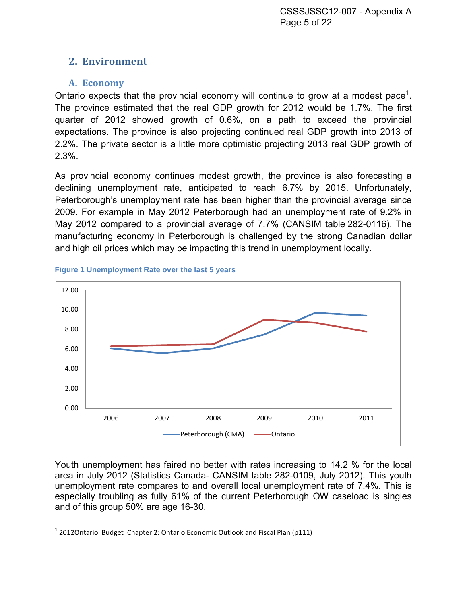# <span id="page-4-0"></span>**2. Environment**

# <span id="page-4-1"></span>**A. Economy**

Ontario expects that the provincial economy will continue to grow at a modest pace<sup>[1](#page-4-3)</sup>. The province estimated that the real GDP growth for 2012 would be 1.7%. The first quarter of 2012 showed growth of 0.6%, on a path to exceed the provincial expectations. The province is also projecting continued real GDP growth into 2013 of 2.2%. The private sector is a little more optimistic projecting 2013 real GDP growth of 2.3%.

As provincial economy continues modest growth, the province is also forecasting a declining unemployment rate, anticipated to reach 6.7% by 2015. Unfortunately, Peterborough's unemployment rate has been higher than the provincial average since 2009. For example in May 2012 Peterborough had an unemployment rate of 9.2% in May 2012 compared to a provincial average of 7.7% (CANSIM table 282-0116). The manufacturing economy in Peterborough is challenged by the strong Canadian dollar and high oil prices which may be impacting this trend in unemployment locally.



<span id="page-4-2"></span>

Youth unemployment has faired no better with rates increasing to 14.2 % for the local area in July 2012 (Statistics Canada- CANSIM table 282-0109, July 2012). This youth unemployment rate compares to and overall local unemployment rate of 7.4%. This is especially troubling as fully 61% of the current Peterborough OW caseload is singles and of this group 50% are age 16-30.

<span id="page-4-3"></span> $1$  2012Ontario Budget Chapter 2: Ontario Economic Outlook and Fiscal Plan (p111)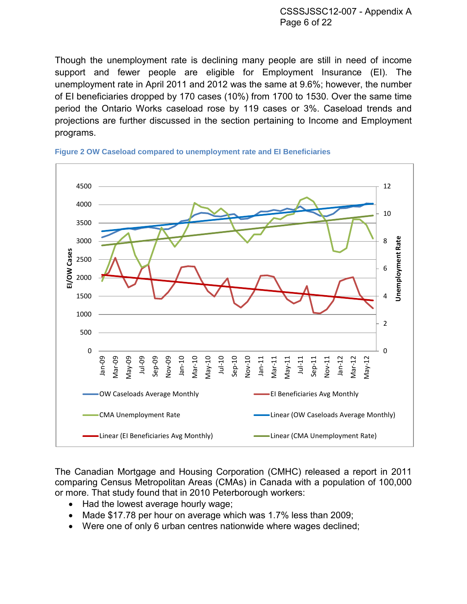Though the unemployment rate is declining many people are still in need of income support and fewer people are eligible for Employment Insurance (EI). The unemployment rate in April 2011 and 2012 was the same at 9.6%; however, the number of EI beneficiaries dropped by 170 cases (10%) from 1700 to 1530. Over the same time period the Ontario Works caseload rose by 119 cases or 3%. Caseload trends and projections are further discussed in the section pertaining to Income and Employment programs.



<span id="page-5-0"></span>

The Canadian Mortgage and Housing Corporation (CMHC) released a report in 2011 comparing Census Metropolitan Areas (CMAs) in Canada with a population of 100,000 or more. That study found that in 2010 Peterborough workers:

- Had the lowest average hourly wage;
- Made \$17.78 per hour on average which was 1.7% less than 2009;
- Were one of only 6 urban centres nationwide where wages declined;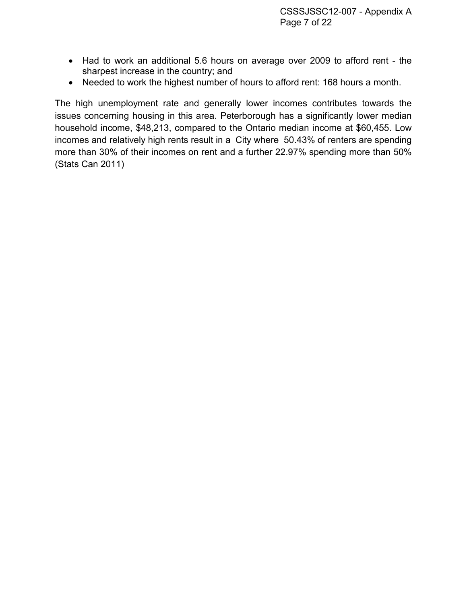- Had to work an additional 5.6 hours on average over 2009 to afford rent the sharpest increase in the country; and
- Needed to work the highest number of hours to afford rent: 168 hours a month.

The high unemployment rate and generally lower incomes contributes towards the issues concerning housing in this area. Peterborough has a significantly lower median household income, \$48,213, compared to the Ontario median income at \$60,455. Low incomes and relatively high rents result in a City where 50.43% of renters are spending more than 30% of their incomes on rent and a further 22.97% spending more than 50% (Stats Can 2011)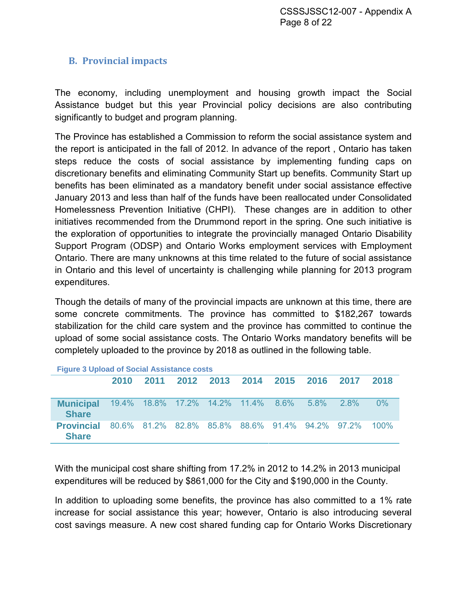# <span id="page-7-0"></span>**B. Provincial impacts**

The economy, including unemployment and housing growth impact the Social Assistance budget but this year Provincial policy decisions are also contributing significantly to budget and program planning.

The Province has established a Commission to reform the social assistance system and the report is anticipated in the fall of 2012. In advance of the report , Ontario has taken steps reduce the costs of social assistance by implementing funding caps on discretionary benefits and eliminating Community Start up benefits. Community Start up benefits has been eliminated as a mandatory benefit under social assistance effective January 2013 and less than half of the funds have been reallocated under Consolidated Homelessness Prevention Initiative (CHPI). These changes are in addition to other initiatives recommended from the Drummond report in the spring. One such initiative is the exploration of opportunities to integrate the provincially managed Ontario Disability Support Program (ODSP) and Ontario Works employment services with Employment Ontario. There are many unknowns at this time related to the future of social assistance in Ontario and this level of uncertainty is challenging while planning for 2013 program expenditures.

Though the details of many of the provincial impacts are unknown at this time, there are some concrete commitments. The province has committed to \$182,267 towards stabilization for the child care system and the province has committed to continue the upload of some social assistance costs. The Ontario Works mandatory benefits will be completely uploaded to the province by 2018 as outlined in the following table.

<span id="page-7-1"></span>

| <b>Figure 3 Upload of Social Assistance costs</b> |      |                                                 |  |  |                |      |         |            |         |
|---------------------------------------------------|------|-------------------------------------------------|--|--|----------------|------|---------|------------|---------|
|                                                   | 2010 | 2011                                            |  |  | 2012 2013 2014 | 2015 | 2016    | 2017       | 2018    |
|                                                   |      |                                                 |  |  |                |      |         |            |         |
| <b>Municipal</b><br><b>Share</b>                  |      | 19.4% 18.8% 17.2% 14.2% 11.4% 8.6%              |  |  |                |      | $5.8\%$ | <b>28%</b> | $0\%$   |
| <b>Provincial</b><br><b>Share</b>                 |      | 80.6% 81.2% 82.8% 85.8% 88.6% 91.4% 94.2% 97.2% |  |  |                |      |         |            | $100\%$ |

With the municipal cost share shifting from 17.2% in 2012 to 14.2% in 2013 municipal expenditures will be reduced by \$861,000 for the City and \$190,000 in the County.

In addition to uploading some benefits, the province has also committed to a 1% rate increase for social assistance this year; however, Ontario is also introducing several cost savings measure. A new cost shared funding cap for Ontario Works Discretionary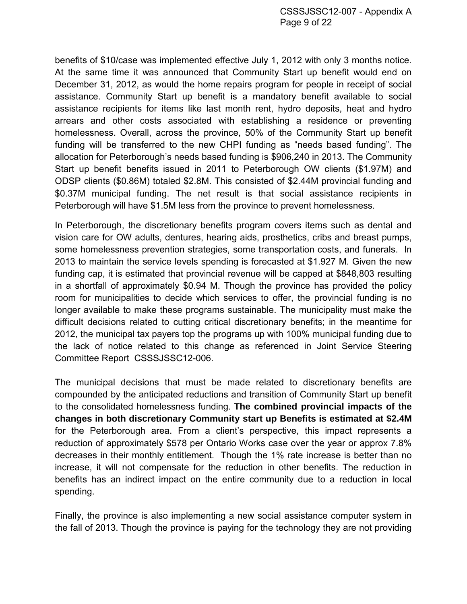CSSSJSSC12-007 - Appendix A Page 9 of 22

benefits of \$10/case was implemented effective July 1, 2012 with only 3 months notice. At the same time it was announced that Community Start up benefit would end on December 31, 2012, as would the home repairs program for people in receipt of social assistance. Community Start up benefit is a mandatory benefit available to social assistance recipients for items like last month rent, hydro deposits, heat and hydro arrears and other costs associated with establishing a residence or preventing homelessness. Overall, across the province, 50% of the Community Start up benefit funding will be transferred to the new CHPI funding as "needs based funding". The allocation for Peterborough's needs based funding is \$906,240 in 2013. The Community Start up benefit benefits issued in 2011 to Peterborough OW clients (\$1.97M) and ODSP clients (\$0.86M) totaled \$2.8M. This consisted of \$2.44M provincial funding and \$0.37M municipal funding. The net result is that social assistance recipients in Peterborough will have \$1.5M less from the province to prevent homelessness.

In Peterborough, the discretionary benefits program covers items such as dental and vision care for OW adults, dentures, hearing aids, prosthetics, cribs and breast pumps, some homelessness prevention strategies, some transportation costs, and funerals. In 2013 to maintain the service levels spending is forecasted at \$1.927 M. Given the new funding cap, it is estimated that provincial revenue will be capped at \$848,803 resulting in a shortfall of approximately \$0.94 M. Though the province has provided the policy room for municipalities to decide which services to offer, the provincial funding is no longer available to make these programs sustainable. The municipality must make the difficult decisions related to cutting critical discretionary benefits; in the meantime for 2012, the municipal tax payers top the programs up with 100% municipal funding due to the lack of notice related to this change as referenced in Joint Service Steering Committee Report CSSSJSSC12-006.

The municipal decisions that must be made related to discretionary benefits are compounded by the anticipated reductions and transition of Community Start up benefit to the consolidated homelessness funding. **The combined provincial impacts of the changes in both discretionary Community start up Benefits is estimated at \$2.4M** for the Peterborough area. From a client's perspective, this impact represents a reduction of approximately \$578 per Ontario Works case over the year or approx 7.8% decreases in their monthly entitlement. Though the 1% rate increase is better than no increase, it will not compensate for the reduction in other benefits. The reduction in benefits has an indirect impact on the entire community due to a reduction in local spending.

Finally, the province is also implementing a new social assistance computer system in the fall of 2013. Though the province is paying for the technology they are not providing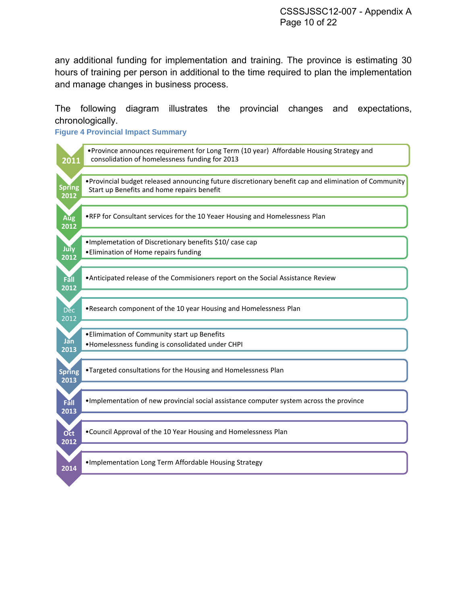any additional funding for implementation and training. The province is estimating 30 hours of training per person in additional to the time required to plan the implementation and manage changes in business process.

The following diagram illustrates the provincial changes and expectations, chronologically.

<span id="page-9-0"></span>**Figure 4 Provincial Impact Summary**

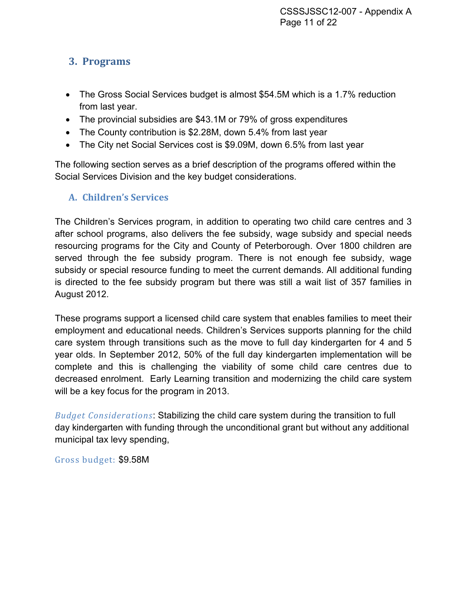# <span id="page-10-0"></span>**3. Programs**

- The Gross Social Services budget is almost \$54.5M which is a 1.7% reduction from last year.
- The provincial subsidies are \$43.1M or 79% of gross expenditures
- The County contribution is \$2.28M, down 5.4% from last year
- The City net Social Services cost is \$9.09M, down 6.5% from last year

The following section serves as a brief description of the programs offered within the Social Services Division and the key budget considerations.

# <span id="page-10-1"></span>**A. Children's Services**

The Children's Services program, in addition to operating two child care centres and 3 after school programs, also delivers the fee subsidy, wage subsidy and special needs resourcing programs for the City and County of Peterborough. Over 1800 children are served through the fee subsidy program. There is not enough fee subsidy, wage subsidy or special resource funding to meet the current demands. All additional funding is directed to the fee subsidy program but there was still a wait list of 357 families in August 2012.

These programs support a licensed child care system that enables families to meet their employment and educational needs. Children's Services supports planning for the child care system through transitions such as the move to full day kindergarten for 4 and 5 year olds. In September 2012, 50% of the full day kindergarten implementation will be complete and this is challenging the viability of some child care centres due to decreased enrolment. Early Learning transition and modernizing the child care system will be a key focus for the program in 2013.

*Budget Considerations*: Stabilizing the child care system during the transition to full day kindergarten with funding through the unconditional grant but without any additional municipal tax levy spending,

Gross budget: \$9.58M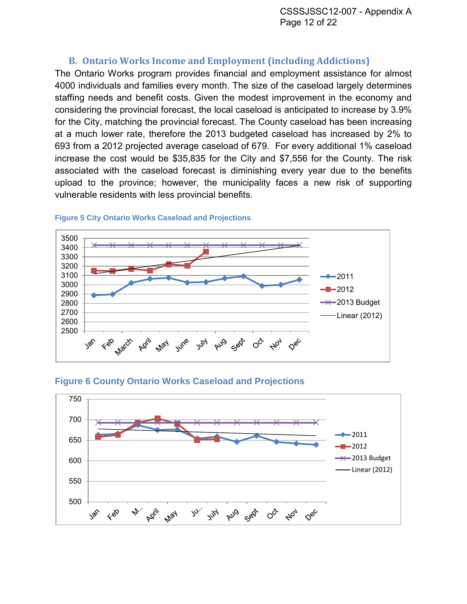# **B. Ontario Works Income and Employment (including Addictions)**

<span id="page-11-0"></span>The Ontario Works program provides financial and employment assistance for almost 4000 individuals and families every month. The size of the caseload largely determines staffing needs and benefit costs. Given the modest improvement in the economy and considering the provincial forecast, the local caseload is anticipated to increase by 3.9% for the City, matching the provincial forecast. The County caseload has been increasing at a much lower rate, therefore the 2013 budgeted caseload has increased by 2% to 693 from a 2012 projected average caseload of 679. For every additional 1% caseload increase the cost would be \$35,835 for the City and \$7,556 for the County. The risk associated with the caseload forecast is diminishing every year due to the benefits upload to the province; however, the municipality faces a new risk of supporting vulnerable residents with less provincial benefits.



#### <span id="page-11-1"></span>**Figure 5 City Ontario Works Caseload and Projections**

#### <span id="page-11-2"></span>**Figure 6 County Ontario Works Caseload and Projections**

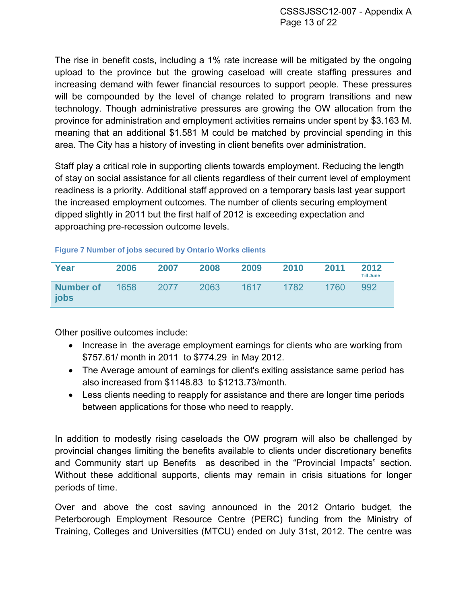The rise in benefit costs, including a 1% rate increase will be mitigated by the ongoing upload to the province but the growing caseload will create staffing pressures and increasing demand with fewer financial resources to support people. These pressures will be compounded by the level of change related to program transitions and new technology. Though administrative pressures are growing the OW allocation from the province for administration and employment activities remains under spent by \$3.163 M. meaning that an additional \$1.581 M could be matched by provincial spending in this area. The City has a history of investing in client benefits over administration.

Staff play a critical role in supporting clients towards employment. Reducing the length of stay on social assistance for all clients regardless of their current level of employment readiness is a priority. Additional staff approved on a temporary basis last year support the increased employment outcomes. The number of clients securing employment dipped slightly in 2011 but the first half of 2012 is exceeding expectation and approaching pre-recession outcome levels.

#### <span id="page-12-0"></span>**Figure 7 Number of jobs secured by Ontario Works clients**

| Year                     | 2006 | 2007 | 2008 | 2009 | 2010 | 2011 | 2012<br><b>Till June</b> |
|--------------------------|------|------|------|------|------|------|--------------------------|
| <b>Number of</b><br>jobs | 1658 | 2077 | 2063 | 1617 | 1782 | 1760 | 992                      |

Other positive outcomes include:

- Increase in the average employment earnings for clients who are working from \$757.61/ month in 2011 to \$774.29 in May 2012.
- The Average amount of earnings for client's exiting assistance same period has also increased from \$1148.83 to \$1213.73/month.
- Less clients needing to reapply for assistance and there are longer time periods between applications for those who need to reapply.

In addition to modestly rising caseloads the OW program will also be challenged by provincial changes limiting the benefits available to clients under discretionary benefits and Community start up Benefits as described in the "Provincial Impacts" section. Without these additional supports, clients may remain in crisis situations for longer periods of time.

Over and above the cost saving announced in the 2012 Ontario budget, the Peterborough Employment Resource Centre (PERC) funding from the Ministry of Training, Colleges and Universities (MTCU) ended on July 31st, 2012. The centre was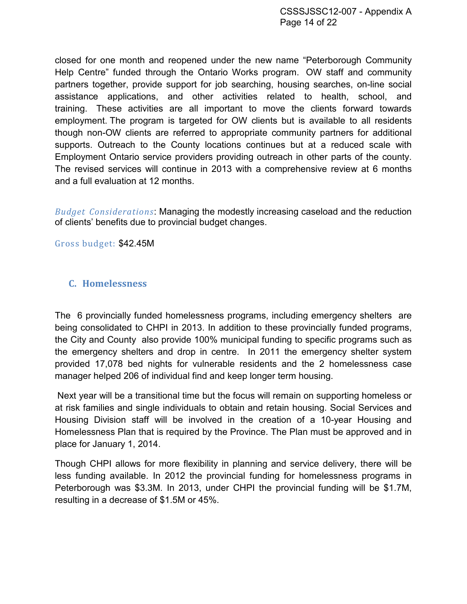closed for one month and reopened under the new name "Peterborough Community Help Centre" funded through the Ontario Works program. OW staff and community partners together, provide support for job searching, housing searches, on-line social assistance applications, and other activities related to health, school, and training. These activities are all important to move the clients forward towards employment. The program is targeted for OW clients but is available to all residents though non-OW clients are referred to appropriate community partners for additional supports. Outreach to the County locations continues but at a reduced scale with Employment Ontario service providers providing outreach in other parts of the county. The revised services will continue in 2013 with a comprehensive review at 6 months and a full evaluation at 12 months.

*Budget Considerations*: Managing the modestly increasing caseload and the reduction of clients' benefits due to provincial budget changes.

Gross budget: \$42.45M

#### <span id="page-13-0"></span>**C. Homelessness**

The 6 provincially funded homelessness programs, including emergency shelters are being consolidated to CHPI in 2013. In addition to these provincially funded programs, the City and County also provide 100% municipal funding to specific programs such as the emergency shelters and drop in centre. In 2011 the emergency shelter system provided 17,078 bed nights for vulnerable residents and the 2 homelessness case manager helped 206 of individual find and keep longer term housing.

Next year will be a transitional time but the focus will remain on supporting homeless or at risk families and single individuals to obtain and retain housing. Social Services and Housing Division staff will be involved in the creation of a 10-year Housing and Homelessness Plan that is required by the Province. The Plan must be approved and in place for January 1, 2014.

Though CHPI allows for more flexibility in planning and service delivery, there will be less funding available. In 2012 the provincial funding for homelessness programs in Peterborough was \$3.3M. In 2013, under CHPI the provincial funding will be \$1.7M, resulting in a decrease of \$1.5M or 45%.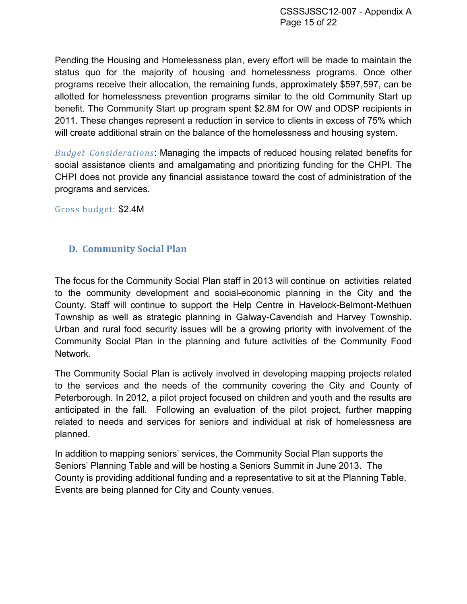Pending the Housing and Homelessness plan, every effort will be made to maintain the status quo for the majority of housing and homelessness programs. Once other programs receive their allocation, the remaining funds, approximately \$597,597, can be allotted for homelessness prevention programs similar to the old Community Start up benefit. The Community Start up program spent \$2.8M for OW and ODSP recipients in 2011. These changes represent a reduction in service to clients in excess of 75% which will create additional strain on the balance of the homelessness and housing system.

*Budget Considerations*: Managing the impacts of reduced housing related benefits for social assistance clients and amalgamating and prioritizing funding for the CHPI. The CHPI does not provide any financial assistance toward the cost of administration of the programs and services.

Gross budget: \$2.4M

# <span id="page-14-0"></span>**D. Community Social Plan**

The focus for the Community Social Plan staff in 2013 will continue on activities related to the community development and social-economic planning in the City and the County. Staff will continue to support the Help Centre in Havelock-Belmont-Methuen Township as well as strategic planning in Galway-Cavendish and Harvey Township. Urban and rural food security issues will be a growing priority with involvement of the Community Social Plan in the planning and future activities of the Community Food Network.

The Community Social Plan is actively involved in developing mapping projects related to the services and the needs of the community covering the City and County of Peterborough. In 2012, a pilot project focused on children and youth and the results are anticipated in the fall. Following an evaluation of the pilot project, further mapping related to needs and services for seniors and individual at risk of homelessness are planned.

In addition to mapping seniors' services, the Community Social Plan supports the Seniors' Planning Table and will be hosting a Seniors Summit in June 2013. The County is providing additional funding and a representative to sit at the Planning Table. Events are being planned for City and County venues.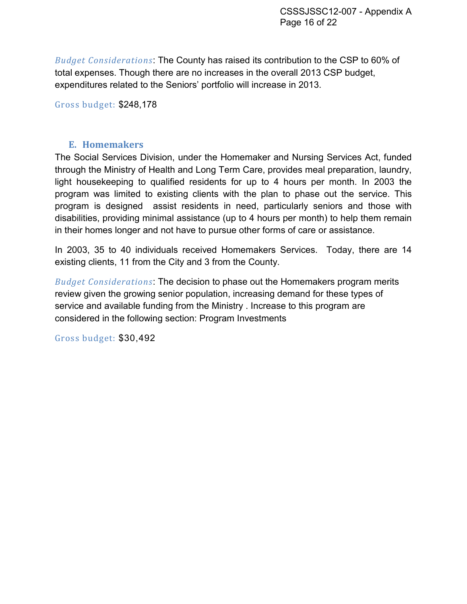*Budget Considerations*: The County has raised its contribution to the CSP to 60% of total expenses. Though there are no increases in the overall 2013 CSP budget, expenditures related to the Seniors' portfolio will increase in 2013.

Gross budget: \$248,178

# **E. Homemakers**

<span id="page-15-0"></span>The Social Services Division, under the Homemaker and Nursing Services Act, funded through the Ministry of Health and Long Term Care, provides meal preparation, laundry, light housekeeping to qualified residents for up to 4 hours per month. In 2003 the program was limited to existing clients with the plan to phase out the service. This program is designed assist residents in need, particularly seniors and those with disabilities, providing minimal assistance (up to 4 hours per month) to help them remain in their homes longer and not have to pursue other forms of care or assistance.

In 2003, 35 to 40 individuals received Homemakers Services. Today, there are 14 existing clients, 11 from the City and 3 from the County.

*Budget Considerations*: The decision to phase out the Homemakers program merits review given the growing senior population, increasing demand for these types of service and available funding from the Ministry . Increase to this program are considered in the following section: Program Investments

Gross budget: \$30,492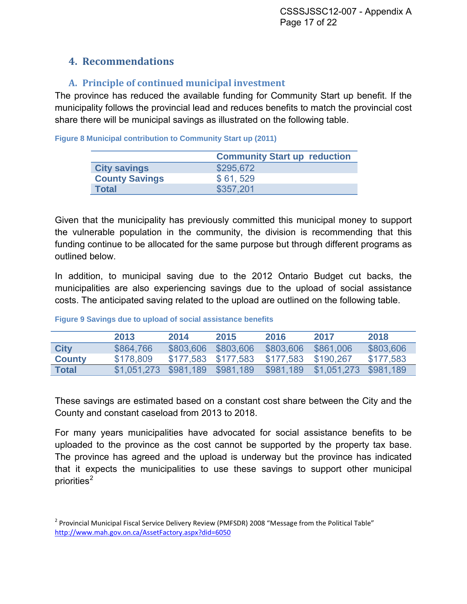# <span id="page-16-0"></span>**4. Recommendations**

# <span id="page-16-1"></span>**A. Principle of continued municipal investment**

The province has reduced the available funding for Community Start up benefit. If the municipality follows the provincial lead and reduces benefits to match the provincial cost share there will be municipal savings as illustrated on the following table.

<span id="page-16-2"></span>**Figure 8 Municipal contribution to Community Start up (2011)**

|                       | <b>Community Start up reduction</b> |
|-----------------------|-------------------------------------|
| <b>City savings</b>   | \$295,672                           |
| <b>County Savings</b> | \$61,529                            |
| <b>Total</b>          | \$357.201                           |

Given that the municipality has previously committed this municipal money to support the vulnerable population in the community, the division is recommending that this funding continue to be allocated for the same purpose but through different programs as outlined below.

In addition, to municipal saving due to the 2012 Ontario Budget cut backs, the municipalities are also experiencing savings due to the upload of social assistance costs. The anticipated saving related to the upload are outlined on the following table.

|               | 2013                  | 2014                | 2015      | 2016      | 2017        | 2018      |
|---------------|-----------------------|---------------------|-----------|-----------|-------------|-----------|
| <b>City</b>   | \$864,766             | \$803,606           | \$803,606 | \$803,606 | \$861,006   | \$803,606 |
| <b>County</b> | \$178,809             | \$177,583 \$177,583 |           | \$177,583 | \$190.267   | \$177,583 |
| <b>Total</b>  | \$1,051,273 \$981,189 |                     | \$981,189 | \$981.189 | \$1,051,273 | \$981.189 |

#### <span id="page-16-3"></span>**Figure 9 Savings due to upload of social assistance benefits**

These savings are estimated based on a constant cost share between the City and the County and constant caseload from 2013 to 2018.

For many years municipalities have advocated for social assistance benefits to be uploaded to the province as the cost cannot be supported by the property tax base. The province has agreed and the upload is underway but the province has indicated that it expects the municipalities to use these savings to support other municipal priorities<sup>[2](#page-16-4)</sup>

<span id="page-16-4"></span><sup>&</sup>lt;sup>2</sup> Provincial Municipal Fiscal Service Delivery Review (PMFSDR) 2008 "Message from the Political Table" <http://www.mah.gov.on.ca/AssetFactory.aspx?did=6050>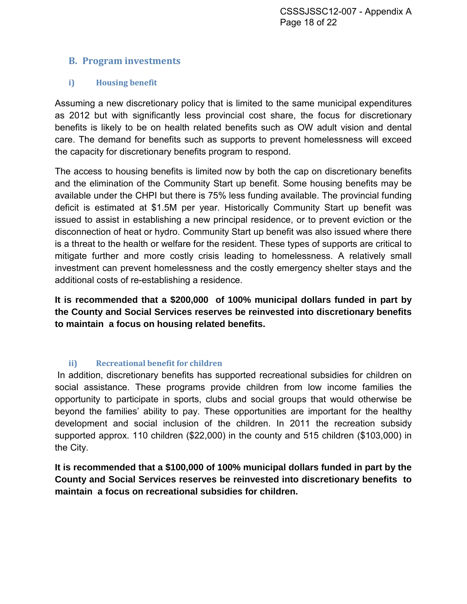# <span id="page-17-0"></span>**B. Program investments**

# <span id="page-17-1"></span>**i) Housing benefit**

Assuming a new discretionary policy that is limited to the same municipal expenditures as 2012 but with significantly less provincial cost share, the focus for discretionary benefits is likely to be on health related benefits such as OW adult vision and dental care. The demand for benefits such as supports to prevent homelessness will exceed the capacity for discretionary benefits program to respond.

The access to housing benefits is limited now by both the cap on discretionary benefits and the elimination of the Community Start up benefit. Some housing benefits may be available under the CHPI but there is 75% less funding available. The provincial funding deficit is estimated at \$1.5M per year. Historically Community Start up benefit was issued to assist in establishing a new principal residence, or to prevent eviction or the disconnection of heat or hydro. Community Start up benefit was also issued where there is a threat to the health or welfare for the resident. These types of supports are critical to mitigate further and more costly crisis leading to homelessness. A relatively small investment can prevent homelessness and the costly emergency shelter stays and the additional costs of re-establishing a residence.

**It is recommended that a \$200,000 of 100% municipal dollars funded in part by the County and Social Services reserves be reinvested into discretionary benefits to maintain a focus on housing related benefits.** 

# **ii) Recreational benefit for children**

<span id="page-17-2"></span>In addition, discretionary benefits has supported recreational subsidies for children on social assistance. These programs provide children from low income families the opportunity to participate in sports, clubs and social groups that would otherwise be beyond the families' ability to pay. These opportunities are important for the healthy development and social inclusion of the children. In 2011 the recreation subsidy supported approx. 110 children (\$22,000) in the county and 515 children (\$103,000) in the City.

**It is recommended that a \$100,000 of 100% municipal dollars funded in part by the County and Social Services reserves be reinvested into discretionary benefits to maintain a focus on recreational subsidies for children.**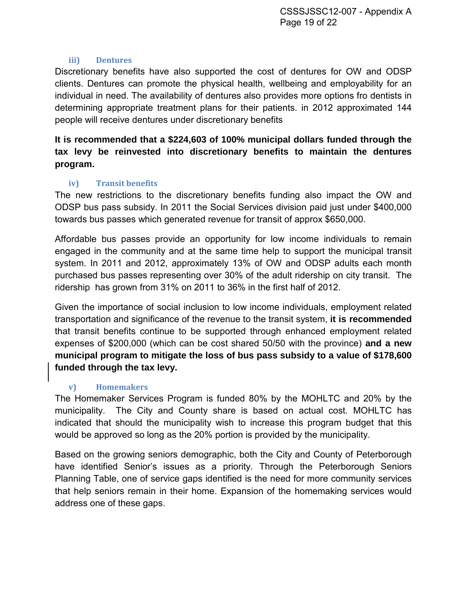#### **iii) Dentures**

<span id="page-18-0"></span>Discretionary benefits have also supported the cost of dentures for OW and ODSP clients. Dentures can promote the physical health, wellbeing and employability for an individual in need. The availability of dentures also provides more options fro dentists in determining appropriate treatment plans for their patients. in 2012 approximated 144 people will receive dentures under discretionary benefits

# **It is recommended that a \$224,603 of 100% municipal dollars funded through the tax levy be reinvested into discretionary benefits to maintain the dentures program.**

# **iv) Transit benefits**

<span id="page-18-1"></span>The new restrictions to the discretionary benefits funding also impact the OW and ODSP bus pass subsidy. In 2011 the Social Services division paid just under \$400,000 towards bus passes which generated revenue for transit of approx \$650,000.

Affordable bus passes provide an opportunity for low income individuals to remain engaged in the community and at the same time help to support the municipal transit system. In 2011 and 2012, approximately 13% of OW and ODSP adults each month purchased bus passes representing over 30% of the adult ridership on city transit. The ridership has grown from 31% on 2011 to 36% in the first half of 2012.

Given the importance of social inclusion to low income individuals, employment related transportation and significance of the revenue to the transit system, **it is recommended** that transit benefits continue to be supported through enhanced employment related expenses of \$200,000 (which can be cost shared 50/50 with the province) **and a new municipal program to mitigate the loss of bus pass subsidy to a value of \$178,600 funded through the tax levy.** 

# **v) Homemakers**

<span id="page-18-2"></span>The Homemaker Services Program is funded 80% by the MOHLTC and 20% by the municipality. The City and County share is based on actual cost. MOHLTC has indicated that should the municipality wish to increase this program budget that this would be approved so long as the 20% portion is provided by the municipality.

Based on the growing seniors demographic, both the City and County of Peterborough have identified Senior's issues as a priority. Through the Peterborough Seniors Planning Table, one of service gaps identified is the need for more community services that help seniors remain in their home. Expansion of the homemaking services would address one of these gaps.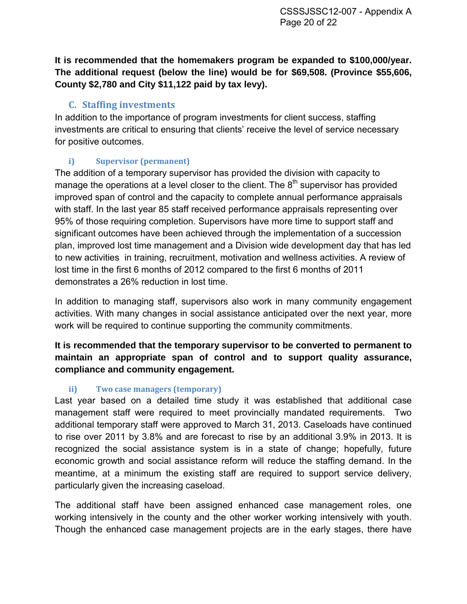**It is recommended that the homemakers program be expanded to \$100,000/year. The additional request (below the line) would be for \$69,508. (Province \$55,606, County \$2,780 and City \$11,122 paid by tax levy).** 

# **C. Staffing investments**

<span id="page-19-0"></span>In addition to the importance of program investments for client success, staffing investments are critical to ensuring that clients' receive the level of service necessary for positive outcomes.

# <span id="page-19-1"></span>**i) Supervisor (permanent)**

The addition of a temporary supervisor has provided the division with capacity to manage the operations at a level closer to the client. The  $8<sup>th</sup>$  supervisor has provided improved span of control and the capacity to complete annual performance appraisals with staff. In the last year 85 staff received performance appraisals representing over 95% of those requiring completion. Supervisors have more time to support staff and significant outcomes have been achieved through the implementation of a succession plan, improved lost time management and a Division wide development day that has led to new activities in training, recruitment, motivation and wellness activities. A review of lost time in the first 6 months of 2012 compared to the first 6 months of 2011 demonstrates a 26% reduction in lost time.

In addition to managing staff, supervisors also work in many community engagement activities. With many changes in social assistance anticipated over the next year, more work will be required to continue supporting the community commitments.

**It is recommended that the temporary supervisor to be converted to permanent to maintain an appropriate span of control and to support quality assurance, compliance and community engagement.** 

# **ii) Two case managers (temporary)**

<span id="page-19-2"></span>Last year based on a detailed time study it was established that additional case management staff were required to meet provincially mandated requirements. Two additional temporary staff were approved to March 31, 2013. Caseloads have continued to rise over 2011 by 3.8% and are forecast to rise by an additional 3.9% in 2013. It is recognized the social assistance system is in a state of change; hopefully, future economic growth and social assistance reform will reduce the staffing demand. In the meantime, at a minimum the existing staff are required to support service delivery, particularly given the increasing caseload.

The additional staff have been assigned enhanced case management roles, one working intensively in the county and the other worker working intensively with youth. Though the enhanced case management projects are in the early stages, there have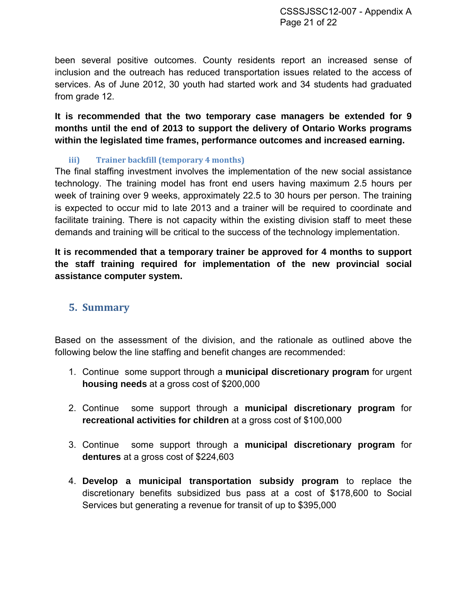been several positive outcomes. County residents report an increased sense of inclusion and the outreach has reduced transportation issues related to the access of services. As of June 2012, 30 youth had started work and 34 students had graduated from grade 12.

**It is recommended that the two temporary case managers be extended for 9 months until the end of 2013 to support the delivery of Ontario Works programs within the legislated time frames, performance outcomes and increased earning.** 

# **iii) Trainer backfill (temporary 4 months)**

<span id="page-20-0"></span>The final staffing investment involves the implementation of the new social assistance technology. The training model has front end users having maximum 2.5 hours per week of training over 9 weeks, approximately 22.5 to 30 hours per person. The training is expected to occur mid to late 2013 and a trainer will be required to coordinate and facilitate training. There is not capacity within the existing division staff to meet these demands and training will be critical to the success of the technology implementation.

**It is recommended that a temporary trainer be approved for 4 months to support the staff training required for implementation of the new provincial social assistance computer system.**

# <span id="page-20-1"></span>**5. Summary**

Based on the assessment of the division, and the rationale as outlined above the following below the line staffing and benefit changes are recommended:

- 1. Continue some support through a **municipal discretionary program** for urgent **housing needs** at a gross cost of \$200,000
- 2. Continue some support through a **municipal discretionary program** for **recreational activities for children** at a gross cost of \$100,000
- 3. Continue some support through a **municipal discretionary program** for **dentures** at a gross cost of \$224,603
- 4. **Develop a municipal transportation subsidy program** to replace the discretionary benefits subsidized bus pass at a cost of \$178,600 to Social Services but generating a revenue for transit of up to \$395,000